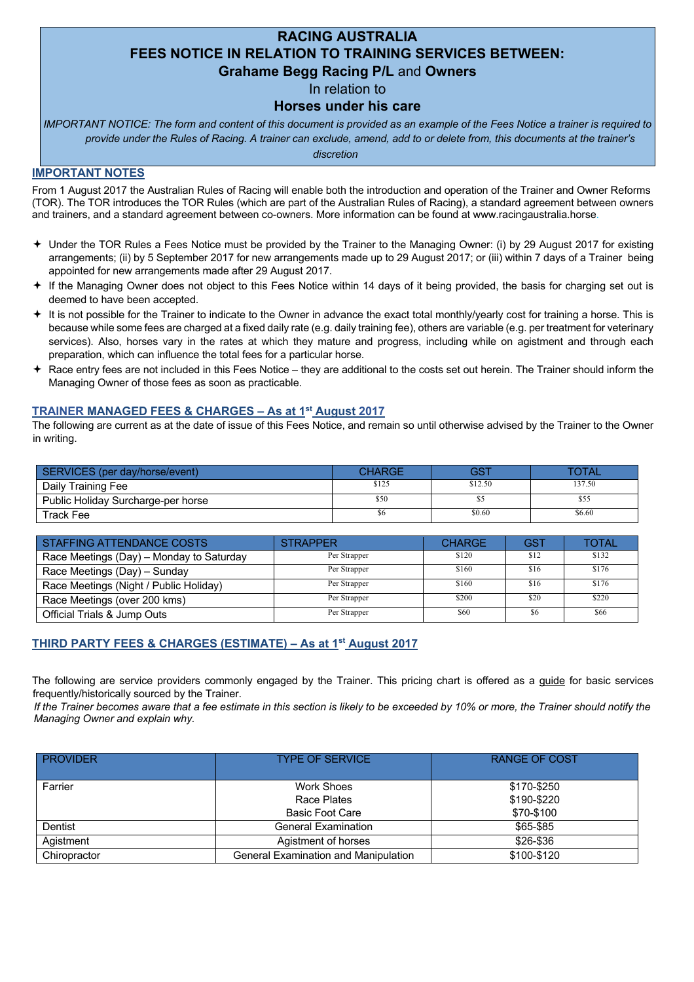# **RACING AUSTRALIA FEES NOTICE IN RELATION TO TRAINING SERVICES BETWEEN: Grahame Begg Racing P/L** and **Owners**

In relation to

## **Horses under his care**

*IMPORTANT NOTICE: The form and content of this document is provided as an example of the Fees Notice a trainer is required to provide under the Rules of Racing. A trainer can exclude, amend, add to or delete from, this documents at the trainer's* 

#### *discretion*

## **IMPORTANT NOTES**

From 1 August 2017 the Australian Rules of Racing will enable both the introduction and operation of the Trainer and Owner Reforms (TOR). The TOR introduces the TOR Rules (which are part of the Australian Rules of Racing), a standard agreement between owners and trainers, and a standard agreement between co-owners. More information can be found at www.racingaustralia.horse.

- ª Under the TOR Rules a Fees Notice must be provided by the Trainer to the Managing Owner: (i) by 29 August 2017 for existing arrangements; (ii) by 5 September 2017 for new arrangements made up to 29 August 2017; or (iii) within 7 days of a Trainer being appointed for new arrangements made after 29 August 2017.
- ª If the Managing Owner does not object to this Fees Notice within 14 days of it being provided, the basis for charging set out is deemed to have been accepted.
- $\div$  It is not possible for the Trainer to indicate to the Owner in advance the exact total monthly/yearly cost for training a horse. This is because while some fees are charged at a fixed daily rate (e.g. daily training fee), others are variable (e.g. per treatment for veterinary services). Also, horses vary in the rates at which they mature and progress, including while on agistment and through each preparation, which can influence the total fees for a particular horse.
- $\triangle$  Race entry fees are not included in this Fees Notice they are additional to the costs set out herein. The Trainer should inform the Managing Owner of those fees as soon as practicable.

## **TRAINER MANAGED FEES & CHARGES – As at 1st August 2017**

The following are current as at the date of issue of this Fees Notice, and remain so until otherwise advised by the Trainer to the Owner in writing.

| SERVICES (per day/horse/event)     | <b>CHARGE</b> | GS1     | TOTAL  |
|------------------------------------|---------------|---------|--------|
| Daily Training Fee                 | \$125         | \$12.50 | 137.50 |
| Public Holiday Surcharge-per horse | \$50          |         | \$55   |
| Track Fee                          |               | \$0.60  | \$6.60 |

| STAFFING ATTENDANCE COSTS                | <b>STRAPPER</b> | <b>CHARGE</b> | <b>GST</b> | TOTAL |
|------------------------------------------|-----------------|---------------|------------|-------|
| Race Meetings (Day) - Monday to Saturday | Per Strapper    | \$120         | \$12       | \$132 |
| Race Meetings (Day) - Sunday             | Per Strapper    | \$160         | \$16       | \$176 |
| Race Meetings (Night / Public Holiday)   | Per Strapper    | \$160         | \$16       | \$176 |
| Race Meetings (over 200 kms)             | Per Strapper    | \$200         | \$20       | \$220 |
| Official Trials & Jump Outs              | Per Strapper    | \$60          | \$6        | \$66  |

# **THIRD PARTY FEES & CHARGES (ESTIMATE) – As at 1st August 2017**

The following are service providers commonly engaged by the Trainer. This pricing chart is offered as a guide for basic services frequently/historically sourced by the Trainer.

*If the Trainer becomes aware that a fee estimate in this section is likely to be exceeded by 10% or more, the Trainer should notify the Managing Owner and explain why.* 

| <b>PROVIDER</b> | <b>TYPE OF SERVICE</b>                              | <b>RANGE OF COST</b>                     |
|-----------------|-----------------------------------------------------|------------------------------------------|
| Farrier         | Work Shoes<br>Race Plates<br><b>Basic Foot Care</b> | \$170-\$250<br>\$190-\$220<br>\$70-\$100 |
| Dentist         | <b>General Examination</b>                          | \$65-\$85                                |
| Agistment       | Agistment of horses                                 | \$26-\$36                                |
| Chiropractor    | General Examination and Manipulation                | \$100-\$120                              |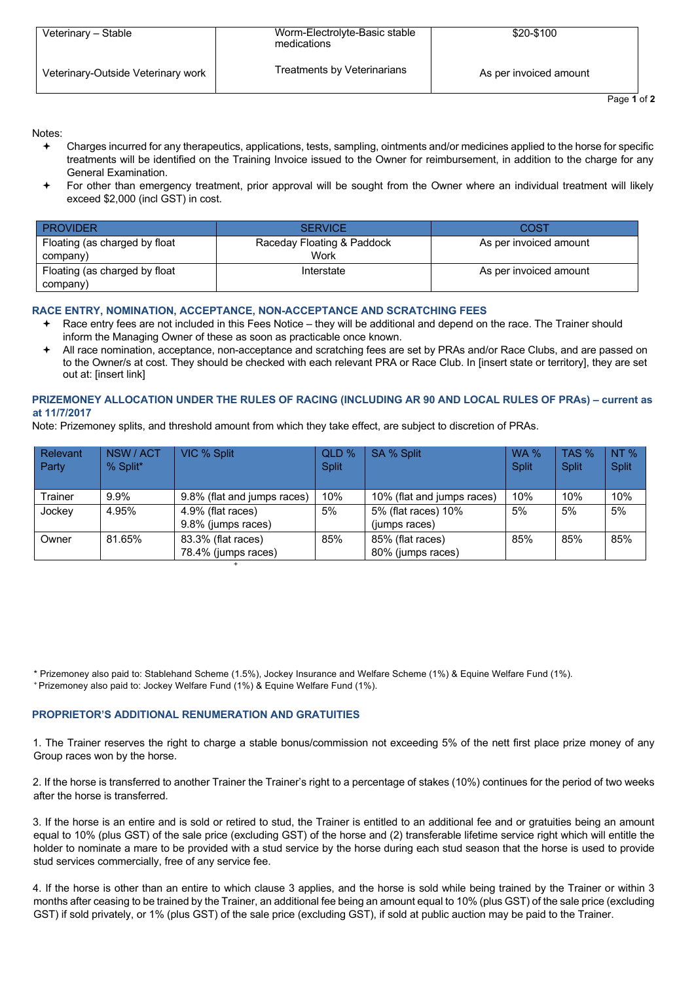| Veterinary - Stable                | Worm-Electrolyte-Basic stable<br>medications | \$20-\$100             |
|------------------------------------|----------------------------------------------|------------------------|
| Veterinary-Outside Veterinary work | Treatments by Veterinarians                  | As per invoiced amount |

**Page 1 of 2** 

#### Notes:

- Charges incurred for any therapeutics, applications, tests, sampling, ointments and/or medicines applied to the horse for specific treatments will be identified on the Training Invoice issued to the Owner for reimbursement, in addition to the charge for any General Examination.
- For other than emergency treatment, prior approval will be sought from the Owner where an individual treatment will likely exceed \$2,000 (incl GST) in cost.

| <b>PROVIDER</b>                           | <b>SERVICE</b>                     | COST                   |
|-------------------------------------------|------------------------------------|------------------------|
| Floating (as charged by float<br>company) | Raceday Floating & Paddock<br>Work | As per invoiced amount |
| Floating (as charged by float<br>company) | Interstate                         | As per invoiced amount |

### **RACE ENTRY, NOMINATION, ACCEPTANCE, NON-ACCEPTANCE AND SCRATCHING FEES**

- ª Race entry fees are not included in this Fees Notice they will be additional and depend on the race. The Trainer should inform the Managing Owner of these as soon as practicable once known.
- All race nomination, acceptance, non-acceptance and scratching fees are set by PRAs and/or Race Clubs, and are passed on to the Owner/s at cost. They should be checked with each relevant PRA or Race Club. In [insert state or territory], they are set out at: [insert link]

### **PRIZEMONEY ALLOCATION UNDER THE RULES OF RACING (INCLUDING AR 90 AND LOCAL RULES OF PRAs) – current as at 11/7/2017**

Note: Prizemoney splits, and threshold amount from which they take effect, are subject to discretion of PRAs.

| Relevant<br>Party | NSW / ACT<br>% Split* | VIC % Split                               | QLD %<br><b>Split</b> | SA % Split                            | <b>WA %</b><br><b>Split</b> | TAS %<br><b>Split</b> | NT%<br><b>Split</b> |
|-------------------|-----------------------|-------------------------------------------|-----------------------|---------------------------------------|-----------------------------|-----------------------|---------------------|
| Trainer           | $9.9\%$               | 9.8% (flat and jumps races)               | 10%                   | 10% (flat and jumps races)            | 10%                         | 10%                   | 10%                 |
| Jockey            | 4.95%                 | 4.9% (flat races)<br>9.8% (jumps races)   | 5%                    | 5% (flat races) 10%<br>(jumps races)  | 5%                          | 5%                    | 5%                  |
| Owner             | 81.65%                | 83.3% (flat races)<br>78.4% (jumps races) | 85%                   | 85% (flat races)<br>80% (jumps races) | 85%                         | 85%                   | 85%                 |
|                   |                       |                                           |                       |                                       |                             |                       |                     |

\* Prizemoney also paid to: Stablehand Scheme (1.5%), Jockey Insurance and Welfare Scheme (1%) & Equine Welfare Fund (1%). + Prizemoney also paid to: Jockey Welfare Fund (1%) & Equine Welfare Fund (1%).

#### **PROPRIETOR'S ADDITIONAL RENUMERATION AND GRATUITIES**

1. The Trainer reserves the right to charge a stable bonus/commission not exceeding 5% of the nett first place prize money of any Group races won by the horse.

2. If the horse is transferred to another Trainer the Trainer's right to a percentage of stakes (10%) continues for the period of two weeks after the horse is transferred.

3. If the horse is an entire and is sold or retired to stud, the Trainer is entitled to an additional fee and or gratuities being an amount equal to 10% (plus GST) of the sale price (excluding GST) of the horse and (2) transferable lifetime service right which will entitle the holder to nominate a mare to be provided with a stud service by the horse during each stud season that the horse is used to provide stud services commercially, free of any service fee.

4. If the horse is other than an entire to which clause 3 applies, and the horse is sold while being trained by the Trainer or within 3 months after ceasing to be trained by the Trainer, an additional fee being an amount equal to 10% (plus GST) of the sale price (excluding GST) if sold privately, or 1% (plus GST) of the sale price (excluding GST), if sold at public auction may be paid to the Trainer.